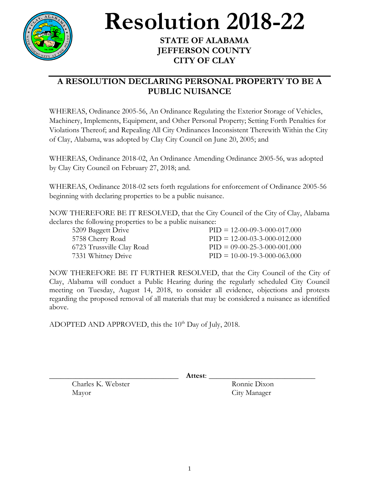

## **Resolution 2018-22**

## **STATE OF ALABAMA JEFFERSON COUNTY CITY OF CLAY**

## **A RESOLUTION DECLARING PERSONAL PROPERTY TO BE A PUBLIC NUISANCE**

WHEREAS, Ordinance 2005-56, An Ordinance Regulating the Exterior Storage of Vehicles, Machinery, Implements, Equipment, and Other Personal Property; Setting Forth Penalties for Violations Thereof; and Repealing All City Ordinances Inconsistent Therewith Within the City of Clay, Alabama, was adopted by Clay City Council on June 20, 2005; and

WHEREAS, Ordinance 2018-02, An Ordinance Amending Ordinance 2005-56, was adopted by Clay City Council on February 27, 2018; and.

WHEREAS, Ordinance 2018-02 sets forth regulations for enforcement of Ordinance 2005-56 beginning with declaring properties to be a public nuisance.

NOW THEREFORE BE IT RESOLVED, that the City Council of the City of Clay, Alabama declares the following properties to be a public nuisance:

| 5209 Baggett Drive        | $PID = 12-00-09-3-000-017,000$ |
|---------------------------|--------------------------------|
| 5758 Cherry Road          | $PID = 12-00-03-3-000-012.000$ |
| 6723 Trussville Clay Road | $PID = 09-00-25-3-000-001.000$ |
| 7331 Whitney Drive        | $PID = 10-00-19-3-000-063.000$ |

NOW THEREFORE BE IT FURTHER RESOLVED, that the City Council of the City of Clay, Alabama will conduct a Public Hearing during the regularly scheduled City Council meeting on Tuesday, August 14, 2018, to consider all evidence, objections and protests regarding the proposed removal of all materials that may be considered a nuisance as identified above.

ADOPTED AND APPROVED, this the 10<sup>th</sup> Day of July, 2018.

\_\_\_\_\_\_\_\_\_\_\_\_\_\_\_\_\_\_\_\_\_\_\_\_\_\_\_\_\_\_\_\_\_\_ **Attest**: \_\_\_\_\_\_\_\_\_\_\_\_\_\_\_\_\_\_\_\_\_\_\_\_\_\_\_\_

Charles K. Webster Ronnie Dixon Mayor City Manager